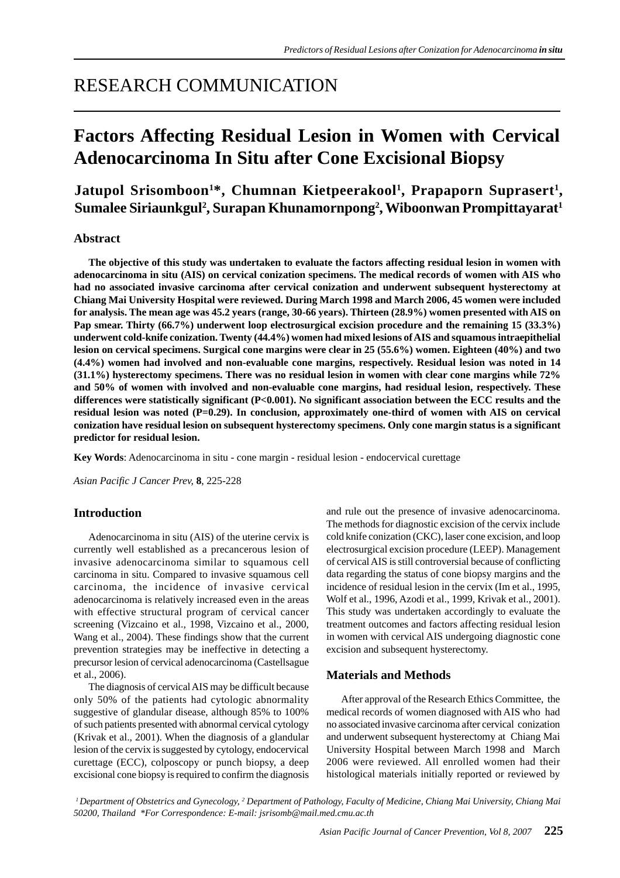## RESEARCH COMMUNICATION

# **Factors Affecting Residual Lesion in Women with Cervical Adenocarcinoma In Situ after Cone Excisional Biopsy**

### Jatupol Srisomboon<sup>1\*</sup>, Chumnan Kietpeerakool<sup>1</sup>, Prapaporn Suprasert<sup>1</sup>, **Sumalee Siriaunkgul2 , Surapan Khunamornpong2 , Wiboonwan Prompittayarat1**

#### **Abstract**

**The objective of this study was undertaken to evaluate the factors affecting residual lesion in women with adenocarcinoma in situ (AIS) on cervical conization specimens. The medical records of women with AIS who had no associated invasive carcinoma after cervical conization and underwent subsequent hysterectomy at Chiang Mai University Hospital were reviewed. During March 1998 and March 2006, 45 women were included for analysis. The mean age was 45.2 years (range, 30-66 years). Thirteen (28.9%) women presented with AIS on Pap smear. Thirty (66.7%) underwent loop electrosurgical excision procedure and the remaining 15 (33.3%) underwent cold-knife conization. Twenty (44.4%) women had mixed lesions of AIS and squamous intraepithelial lesion on cervical specimens. Surgical cone margins were clear in 25 (55.6%) women. Eighteen (40%) and two (4.4%) women had involved and non-evaluable cone margins, respectively. Residual lesion was noted in 14 (31.1%) hysterectomy specimens. There was no residual lesion in women with clear cone margins while 72% and 50% of women with involved and non-evaluable cone margins, had residual lesion, respectively. These differences were statistically significant (P<0.001). No significant association between the ECC results and the** residual lesion was noted (P=0.29). In conclusion, approximately one-third of women with AIS on cervical **conization have residual lesion on subsequent hysterectomy specimens. Only cone margin status is a significant predictor for residual lesion.**

**Key Words**: Adenocarcinoma in situ - cone margin - residual lesion - endocervical curettage

*Asian Pacific J Cancer Prev,* **8**, 225-228

#### **Introduction**

Adenocarcinoma in situ (AIS) of the uterine cervix is currently well established as a precancerous lesion of invasive adenocarcinoma similar to squamous cell carcinoma in situ. Compared to invasive squamous cell carcinoma, the incidence of invasive cervical adenocarcinoma is relatively increased even in the areas with effective structural program of cervical cancer screening (Vizcaino et al., 1998, Vizcaino et al., 2000, Wang et al., 2004). These findings show that the current prevention strategies may be ineffective in detecting a precursor lesion of cervical adenocarcinoma (Castellsague et al., 2006).

The diagnosis of cervical AIS may be difficult because only 50% of the patients had cytologic abnormality suggestive of glandular disease, although 85% to 100% of such patients presented with abnormal cervical cytology (Krivak et al., 2001). When the diagnosis of a glandular lesion of the cervix is suggested by cytology, endocervical curettage (ECC), colposcopy or punch biopsy, a deep excisional cone biopsy is required to confirm the diagnosis and rule out the presence of invasive adenocarcinoma. The methods for diagnostic excision of the cervix include cold knife conization (CKC), laser cone excision, and loop electrosurgical excision procedure (LEEP). Management of cervical AIS is still controversial because of conflicting data regarding the status of cone biopsy margins and the incidence of residual lesion in the cervix (Im et al., 1995, Wolf et al., 1996, Azodi et al., 1999, Krivak et al., 2001). This study was undertaken accordingly to evaluate the treatment outcomes and factors affecting residual lesion in women with cervical AIS undergoing diagnostic cone excision and subsequent hysterectomy.

#### **Materials and Methods**

After approval of the Research Ethics Committee, the medical records of women diagnosed with AIS who had no associated invasive carcinoma after cervical conization and underwent subsequent hysterectomy at Chiang Mai University Hospital between March 1998 and March 2006 were reviewed. All enrolled women had their histological materials initially reported or reviewed by

*1 Department of Obstetrics and Gynecology, 2 Department of Pathology, Faculty of Medicine, Chiang Mai University, Chiang Mai 50200, Thailand \*For Correspondence: E-mail: jsrisomb@mail.med.cmu.ac.th*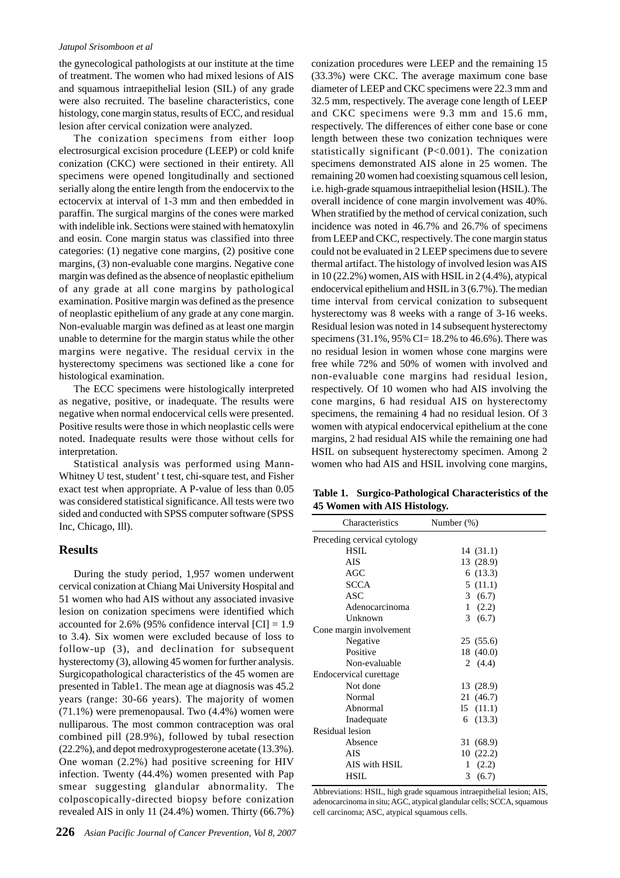#### *Jatupol Srisomboon et al*

the gynecological pathologists at our institute at the time of treatment. The women who had mixed lesions of AIS and squamous intraepithelial lesion (SIL) of any grade were also recruited. The baseline characteristics, cone histology, cone margin status, results of ECC, and residual lesion after cervical conization were analyzed.

The conization specimens from either loop electrosurgical excision procedure (LEEP) or cold knife conization (CKC) were sectioned in their entirety. All specimens were opened longitudinally and sectioned serially along the entire length from the endocervix to the ectocervix at interval of 1-3 mm and then embedded in paraffin. The surgical margins of the cones were marked with indelible ink. Sections were stained with hematoxylin and eosin. Cone margin status was classified into three categories: (1) negative cone margins, (2) positive cone margins, (3) non-evaluable cone margins. Negative cone margin was defined as the absence of neoplastic epithelium of any grade at all cone margins by pathological examination. Positive margin was defined as the presence of neoplastic epithelium of any grade at any cone margin. Non-evaluable margin was defined as at least one margin unable to determine for the margin status while the other margins were negative. The residual cervix in the hysterectomy specimens was sectioned like a cone for histological examination.

The ECC specimens were histologically interpreted as negative, positive, or inadequate. The results were negative when normal endocervical cells were presented. Positive results were those in which neoplastic cells were noted. Inadequate results were those without cells for interpretation.

Statistical analysis was performed using Mann-Whitney U test, student' t test, chi-square test, and Fisher exact test when appropriate. A P-value of less than 0.05 was considered statistical significance. All tests were two sided and conducted with SPSS computer software (SPSS Inc, Chicago, Ill).

#### **Results**

During the study period, 1,957 women underwent cervical conization at Chiang Mai University Hospital and 51 women who had AIS without any associated invasive lesion on conization specimens were identified which accounted for 2.6% (95% confidence interval  $\text{[CI]} = 1.9$ to 3.4). Six women were excluded because of loss to follow-up (3), and declination for subsequent hysterectomy (3), allowing 45 women for further analysis. Surgicopathological characteristics of the 45 women are presented in Table1. The mean age at diagnosis was 45.2 years (range: 30-66 years). The majority of women (71.1%) were premenopausal. Two (4.4%) women were nulliparous. The most common contraception was oral combined pill (28.9%), followed by tubal resection (22.2%), and depot medroxyprogesterone acetate (13.3%). One woman (2.2%) had positive screening for HIV infection. Twenty (44.4%) women presented with Pap smear suggesting glandular abnormality. The colposcopically-directed biopsy before conization revealed AIS in only 11 (24.4%) women. Thirty (66.7%)

conization procedures were LEEP and the remaining 15 (33.3%) were CKC. The average maximum cone base diameter of LEEP and CKC specimens were 22.3 mm and 32.5 mm, respectively. The average cone length of LEEP and CKC specimens were 9.3 mm and 15.6 mm, respectively. The differences of either cone base or cone length between these two conization techniques were statistically significant (P<0.001). The conization specimens demonstrated AIS alone in 25 women. The remaining 20 women had coexisting squamous cell lesion, i.e. high-grade squamous intraepithelial lesion (HSIL). The overall incidence of cone margin involvement was 40%. When stratified by the method of cervical conization, such incidence was noted in 46.7% and 26.7% of specimens from LEEP and CKC, respectively. The cone margin status could not be evaluated in 2 LEEP specimens due to severe thermal artifact. The histology of involved lesion was AIS in 10 (22.2%) women, AIS with HSIL in 2 (4.4%), atypical endocervical epithelium and HSIL in 3 (6.7%). The median time interval from cervical conization to subsequent hysterectomy was 8 weeks with a range of 3-16 weeks. Residual lesion was noted in 14 subsequent hysterectomy specimens  $(31.1\%, 95\% \text{ CI} = 18.2\% \text{ to } 46.6\%)$ . There was no residual lesion in women whose cone margins were free while 72% and 50% of women with involved and non-evaluable cone margins had residual lesion, respectively. Of 10 women who had AIS involving the cone margins, 6 had residual AIS on hysterectomy specimens, the remaining 4 had no residual lesion. Of 3 women with atypical endocervical epithelium at the cone margins, 2 had residual AIS while the remaining one had HSIL on subsequent hysterectomy specimen. Among 2 women who had AIS and HSIL involving cone margins,

**Table 1. Surgico-Pathological Characteristics of the 45 Women with AIS Histology.**

| Characteristics             | Number $(\%)$ |  |
|-----------------------------|---------------|--|
| Preceding cervical cytology |               |  |
| HSIL.                       | 14(31.1)      |  |
| AIS                         | 13 (28.9)     |  |
| AGC                         | 6(13.3)       |  |
| <b>SCCA</b>                 | 5(11.1)       |  |
| ASC                         | 3(6.7)        |  |
| Adenocarcinoma              | 1(2.2)        |  |
| Unknown                     | 3(6.7)        |  |
| Cone margin involvement     |               |  |
| Negative                    | 25(55.6)      |  |
| Positive                    | 18 (40.0)     |  |
| Non-evaluable               | 2 $(4.4)$     |  |
| Endocervical curettage      |               |  |
| Not done                    | 13 (28.9)     |  |
| Normal                      | 21 (46.7)     |  |
| Abnormal                    | 15(11.1)      |  |
| Inadequate                  | (13.3)<br>6   |  |
| Residual lesion             |               |  |
| Absence                     | 31 (68.9)     |  |
| AIS                         | 10(22.2)      |  |
| AIS with HSIL               | (2.2)<br>1    |  |
| HSIL                        | 3<br>(6.7)    |  |

Abbreviations: HSIL, high grade squamous intraepithelial lesion; AIS, adenocarcinoma in situ; AGC, atypical glandular cells; SCCA, squamous cell carcinoma; ASC, atypical squamous cells.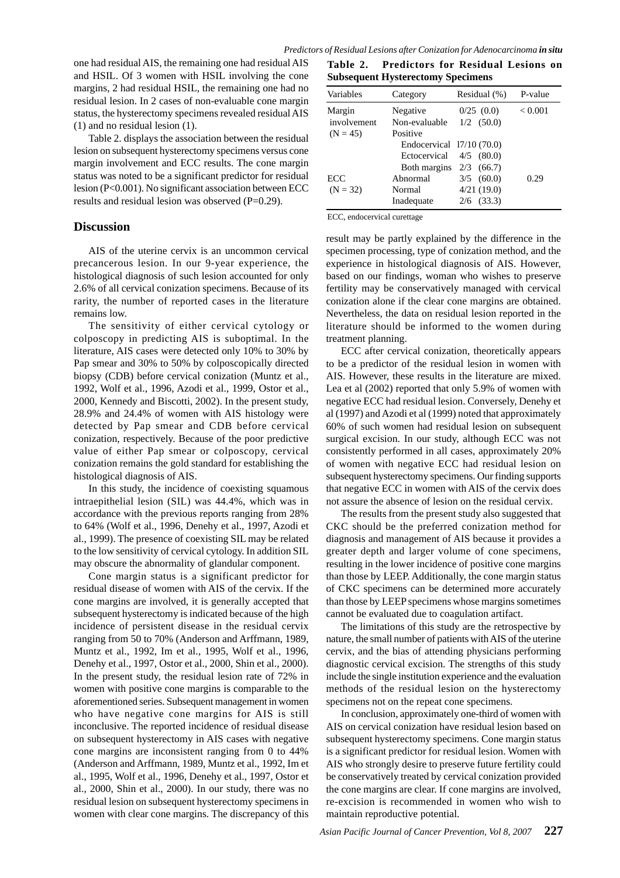one had residual AIS, the remaining one had residual AIS and HSIL. Of 3 women with HSIL involving the cone margins, 2 had residual HSIL, the remaining one had no residual lesion. In 2 cases of non-evaluable cone margin status, the hysterectomy specimens revealed residual AIS (1) and no residual lesion (1).

Table 2. displays the association between the residual lesion on subsequent hysterectomy specimens versus cone margin involvement and ECC results. The cone margin status was noted to be a significant predictor for residual lesion (P<0.001). No significant association between ECC results and residual lesion was observed (P=0.29).

#### **Discussion**

AIS of the uterine cervix is an uncommon cervical precancerous lesion. In our 9-year experience, the histological diagnosis of such lesion accounted for only 2.6% of all cervical conization specimens. Because of its rarity, the number of reported cases in the literature remains low.

The sensitivity of either cervical cytology or colposcopy in predicting AIS is suboptimal. In the literature, AIS cases were detected only 10% to 30% by Pap smear and 30% to 50% by colposcopically directed biopsy (CDB) before cervical conization (Muntz et al., 1992, Wolf et al., 1996, Azodi et al., 1999, Ostor et al., 2000, Kennedy and Biscotti, 2002). In the present study, 28.9% and 24.4% of women with AIS histology were detected by Pap smear and CDB before cervical conization, respectively. Because of the poor predictive value of either Pap smear or colposcopy, cervical conization remains the gold standard for establishing the histological diagnosis of AIS.

In this study, the incidence of coexisting squamous intraepithelial lesion (SIL) was 44.4%, which was in accordance with the previous reports ranging from 28% to 64% (Wolf et al., 1996, Denehy et al., 1997, Azodi et al., 1999). The presence of coexisting SIL may be related to the low sensitivity of cervical cytology. In addition SIL may obscure the abnormality of glandular component.

Cone margin status is a significant predictor for residual disease of women with AIS of the cervix. If the cone margins are involved, it is generally accepted that subsequent hysterectomy is indicated because of the high incidence of persistent disease in the residual cervix ranging from 50 to 70% (Anderson and Arffmann, 1989, Muntz et al., 1992, Im et al., 1995, Wolf et al., 1996, Denehy et al., 1997, Ostor et al., 2000, Shin et al., 2000). In the present study, the residual lesion rate of 72% in women with positive cone margins is comparable to the aforementioned series. Subsequent management in women who have negative cone margins for AIS is still inconclusive. The reported incidence of residual disease on subsequent hysterectomy in AIS cases with negative cone margins are inconsistent ranging from 0 to 44% (Anderson and Arffmann, 1989, Muntz et al., 1992, Im et al., 1995, Wolf et al., 1996, Denehy et al., 1997, Ostor et al., 2000, Shin et al., 2000). In our study, there was no residual lesion on subsequent hysterectomy specimens in women with clear cone margins. The discrepancy of this

**Table 2. Predictors for Residual Lesions on Subsequent Hysterectomy Specimens**

| Variables             | Category                                               | Residual (%)                 | P-value |
|-----------------------|--------------------------------------------------------|------------------------------|---------|
| Margin<br>involvement | Negative<br>Non-evaluable                              | 0/25(0.0)<br>$1/2$ (50.0)    | < 0.001 |
| $(N = 45)$            | Positive<br>Endocervical $17/10(70.0)$<br>Ectocervical | $4/5$ (80.0)                 |         |
| ECC                   | Both margins<br>Abnormal                               | $2/3$ (66.7)<br>$3/5$ (60.0) | 0.29    |
| $(N = 32)$            | Normal<br>Inadequate                                   | 4/21(19.0)<br>$2/6$ (33.3)   |         |

ECC, endocervical curettage

result may be partly explained by the difference in the specimen processing, type of conization method, and the experience in histological diagnosis of AIS. However, based on our findings, woman who wishes to preserve fertility may be conservatively managed with cervical conization alone if the clear cone margins are obtained. Nevertheless, the data on residual lesion reported in the literature should be informed to the women during treatment planning.

ECC after cervical conization, theoretically appears to be a predictor of the residual lesion in women with AIS. However, these results in the literature are mixed. Lea et al (2002) reported that only 5.9% of women with negative ECC had residual lesion. Conversely, Denehy et al (1997) and Azodi et al (1999) noted that approximately 60% of such women had residual lesion on subsequent surgical excision. In our study, although ECC was not consistently performed in all cases, approximately 20% of women with negative ECC had residual lesion on subsequent hysterectomy specimens. Our finding supports that negative ECC in women with AIS of the cervix does not assure the absence of lesion on the residual cervix.

The results from the present study also suggested that CKC should be the preferred conization method for diagnosis and management of AIS because it provides a greater depth and larger volume of cone specimens, resulting in the lower incidence of positive cone margins than those by LEEP. Additionally, the cone margin status of CKC specimens can be determined more accurately than those by LEEP specimens whose margins sometimes cannot be evaluated due to coagulation artifact.

The limitations of this study are the retrospective by nature, the small number of patients with AIS of the uterine cervix, and the bias of attending physicians performing diagnostic cervical excision. The strengths of this study include the single institution experience and the evaluation methods of the residual lesion on the hysterectomy specimens not on the repeat cone specimens.

In conclusion, approximately one-third of women with AIS on cervical conization have residual lesion based on subsequent hysterectomy specimens. Cone margin status is a significant predictor for residual lesion. Women with AIS who strongly desire to preserve future fertility could be conservatively treated by cervical conization provided the cone margins are clear. If cone margins are involved, re-excision is recommended in women who wish to maintain reproductive potential.